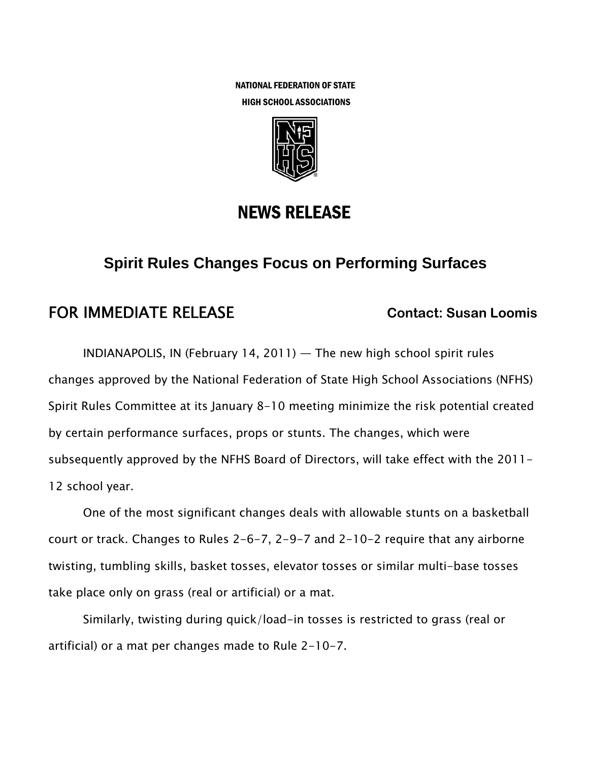NATIONAL FEDERATION OF STATE HIGH SCHOOL ASSOCIATIONS



# NEWS RELEASE

## **Spirit Rules Changes Focus on Performing Surfaces**

## FOR IMMEDIATE RELEASE **Contact: Susan Loomis**

INDIANAPOLIS, IN (February 14, 2011) — The new high school spirit rules changes approved by the National Federation of State High School Associations (NFHS) Spirit Rules Committee at its January 8-10 meeting minimize the risk potential created by certain performance surfaces, props or stunts. The changes, which were subsequently approved by the NFHS Board of Directors, will take effect with the 2011- 12 school year.

One of the most significant changes deals with allowable stunts on a basketball court or track. Changes to Rules 2-6-7, 2-9-7 and 2-10-2 require that any airborne twisting, tumbling skills, basket tosses, elevator tosses or similar multi-base tosses take place only on grass (real or artificial) or a mat.

Similarly, twisting during quick/load-in tosses is restricted to grass (real or artificial) or a mat per changes made to Rule 2-10-7.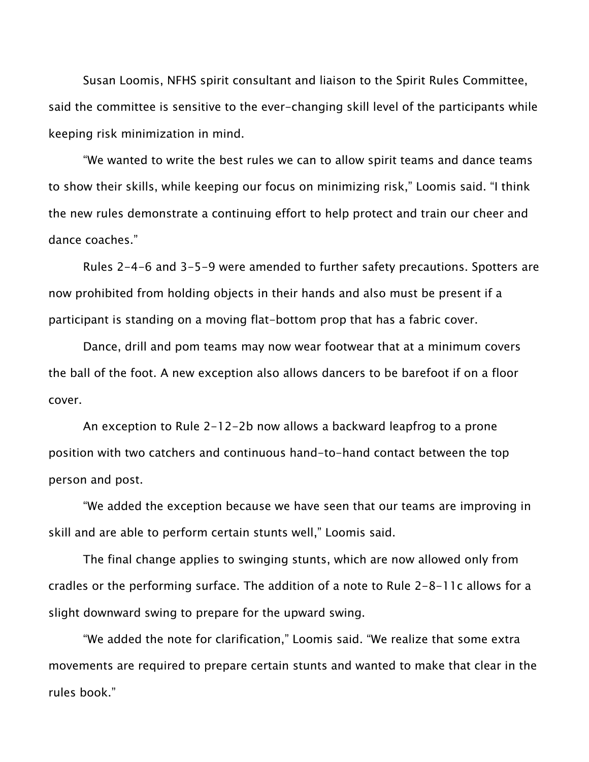Susan Loomis, NFHS spirit consultant and liaison to the Spirit Rules Committee, said the committee is sensitive to the ever-changing skill level of the participants while keeping risk minimization in mind.

"We wanted to write the best rules we can to allow spirit teams and dance teams to show their skills, while keeping our focus on minimizing risk," Loomis said. "I think the new rules demonstrate a continuing effort to help protect and train our cheer and dance coaches."

Rules 2-4-6 and 3-5-9 were amended to further safety precautions. Spotters are now prohibited from holding objects in their hands and also must be present if a participant is standing on a moving flat-bottom prop that has a fabric cover.

Dance, drill and pom teams may now wear footwear that at a minimum covers the ball of the foot. A new exception also allows dancers to be barefoot if on a floor cover.

An exception to Rule 2-12-2b now allows a backward leapfrog to a prone position with two catchers and continuous hand-to-hand contact between the top person and post.

"We added the exception because we have seen that our teams are improving in skill and are able to perform certain stunts well," Loomis said.

The final change applies to swinging stunts, which are now allowed only from cradles or the performing surface. The addition of a note to Rule 2-8-11c allows for a slight downward swing to prepare for the upward swing.

"We added the note for clarification," Loomis said. "We realize that some extra movements are required to prepare certain stunts and wanted to make that clear in the rules book."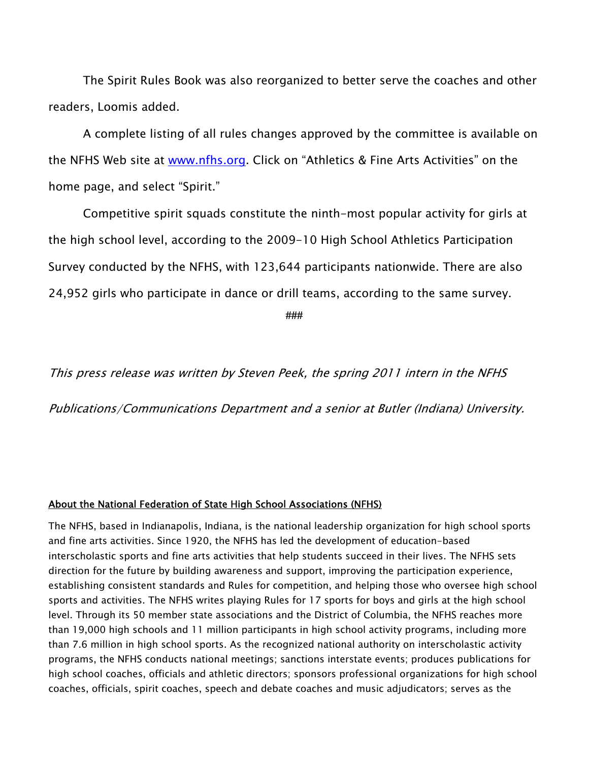The Spirit Rules Book was also reorganized to better serve the coaches and other readers, Loomis added.

A complete listing of all rules changes approved by the committee is available on the NFHS Web site at www.nfhs.org. Click on "Athletics & Fine Arts Activities" on the home page, and select "Spirit."

Competitive spirit squads constitute the ninth-most popular activity for girls at the high school level, according to the 2009-10 High School Athletics Participation Survey conducted by the NFHS, with 123,644 participants nationwide. There are also 24,952 girls who participate in dance or drill teams, according to the same survey.

**###** 

This press release was written by Steven Peek, the spring 2011 intern in the NFHS

Publications/Communications Department and a senior at Butler (Indiana) University.

#### About the National Federation of State High School Associations (NFHS)

The NFHS, based in Indianapolis, Indiana, is the national leadership organization for high school sports and fine arts activities. Since 1920, the NFHS has led the development of education-based interscholastic sports and fine arts activities that help students succeed in their lives. The NFHS sets direction for the future by building awareness and support, improving the participation experience, establishing consistent standards and Rules for competition, and helping those who oversee high school sports and activities. The NFHS writes playing Rules for 17 sports for boys and girls at the high school level. Through its 50 member state associations and the District of Columbia, the NFHS reaches more than 19,000 high schools and 11 million participants in high school activity programs, including more than 7.6 million in high school sports. As the recognized national authority on interscholastic activity programs, the NFHS conducts national meetings; sanctions interstate events; produces publications for high school coaches, officials and athletic directors; sponsors professional organizations for high school coaches, officials, spirit coaches, speech and debate coaches and music adjudicators; serves as the